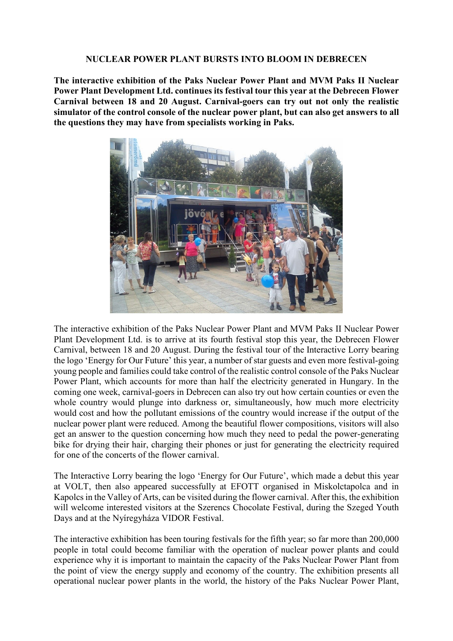## **NUCLEAR POWER PLANT BURSTS INTO BLOOM IN DEBRECEN**

**The interactive exhibition of the Paks Nuclear Power Plant and MVM Paks II Nuclear Power Plant Development Ltd. continues its festival tour this year at the Debrecen Flower Carnival between 18 and 20 August. Carnival-goers can try out not only the realistic simulator of the control console of the nuclear power plant, but can also get answers to all the questions they may have from specialists working in Paks.**



The interactive exhibition of the Paks Nuclear Power Plant and MVM Paks II Nuclear Power Plant Development Ltd. is to arrive at its fourth festival stop this year, the Debrecen Flower Carnival, between 18 and 20 August. During the festival tour of the Interactive Lorry bearing the logo 'Energy for Our Future' this year, a number of star guests and even more festival-going young people and families could take control of the realistic control console of the Paks Nuclear Power Plant, which accounts for more than half the electricity generated in Hungary. In the coming one week, carnival-goers in Debrecen can also try out how certain counties or even the whole country would plunge into darkness or, simultaneously, how much more electricity would cost and how the pollutant emissions of the country would increase if the output of the nuclear power plant were reduced. Among the beautiful flower compositions, visitors will also get an answer to the question concerning how much they need to pedal the power-generating bike for drying their hair, charging their phones or just for generating the electricity required for one of the concerts of the flower carnival.

The Interactive Lorry bearing the logo 'Energy for Our Future', which made a debut this year at VOLT, then also appeared successfully at EFOTT organised in Miskolctapolca and in Kapolcs in the Valley of Arts, can be visited during the flower carnival. After this, the exhibition will welcome interested visitors at the Szerencs Chocolate Festival, during the Szeged Youth Days and at the Nyíregyháza VIDOR Festival.

The interactive exhibition has been touring festivals for the fifth year; so far more than 200,000 people in total could become familiar with the operation of nuclear power plants and could experience why it is important to maintain the capacity of the Paks Nuclear Power Plant from the point of view the energy supply and economy of the country. The exhibition presents all operational nuclear power plants in the world, the history of the Paks Nuclear Power Plant,